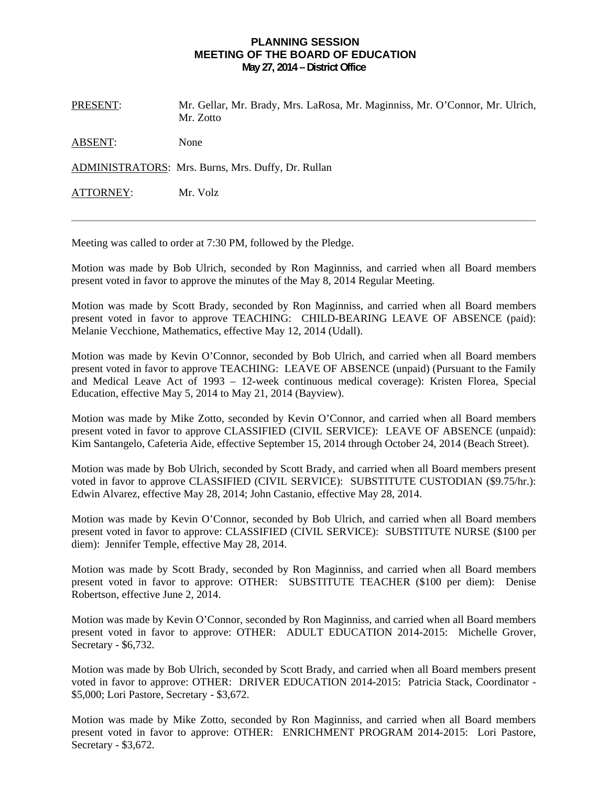## **PLANNING SESSION MEETING OF THE BOARD OF EDUCATION May 27, 2014 – District Office**

PRESENT: Mr. Gellar, Mr. Brady, Mrs. LaRosa, Mr. Maginniss, Mr. O'Connor, Mr. Ulrich, Mr. Zotto

ABSENT: None

ADMINISTRATORS: Mrs. Burns, Mrs. Duffy, Dr. Rullan

ATTORNEY: Mr. Volz

Meeting was called to order at 7:30 PM, followed by the Pledge.

Motion was made by Bob Ulrich, seconded by Ron Maginniss, and carried when all Board members present voted in favor to approve the minutes of the May 8, 2014 Regular Meeting.

Motion was made by Scott Brady, seconded by Ron Maginniss, and carried when all Board members present voted in favor to approve TEACHING: CHILD-BEARING LEAVE OF ABSENCE (paid): Melanie Vecchione, Mathematics, effective May 12, 2014 (Udall).

Motion was made by Kevin O'Connor, seconded by Bob Ulrich, and carried when all Board members present voted in favor to approve TEACHING: LEAVE OF ABSENCE (unpaid) (Pursuant to the Family and Medical Leave Act of 1993 – 12-week continuous medical coverage): Kristen Florea, Special Education, effective May 5, 2014 to May 21, 2014 (Bayview).

Motion was made by Mike Zotto, seconded by Kevin O'Connor, and carried when all Board members present voted in favor to approve CLASSIFIED (CIVIL SERVICE): LEAVE OF ABSENCE (unpaid): Kim Santangelo, Cafeteria Aide, effective September 15, 2014 through October 24, 2014 (Beach Street).

Motion was made by Bob Ulrich, seconded by Scott Brady, and carried when all Board members present voted in favor to approve CLASSIFIED (CIVIL SERVICE): SUBSTITUTE CUSTODIAN (\$9.75/hr.): Edwin Alvarez, effective May 28, 2014; John Castanio, effective May 28, 2014.

Motion was made by Kevin O'Connor, seconded by Bob Ulrich, and carried when all Board members present voted in favor to approve: CLASSIFIED (CIVIL SERVICE): SUBSTITUTE NURSE (\$100 per diem): Jennifer Temple, effective May 28, 2014.

Motion was made by Scott Brady, seconded by Ron Maginniss, and carried when all Board members present voted in favor to approve: OTHER: SUBSTITUTE TEACHER (\$100 per diem): Denise Robertson, effective June 2, 2014.

Motion was made by Kevin O'Connor, seconded by Ron Maginniss, and carried when all Board members present voted in favor to approve: OTHER: ADULT EDUCATION 2014-2015: Michelle Grover, Secretary - \$6,732.

Motion was made by Bob Ulrich, seconded by Scott Brady, and carried when all Board members present voted in favor to approve: OTHER: DRIVER EDUCATION 2014-2015: Patricia Stack, Coordinator - \$5,000; Lori Pastore, Secretary - \$3,672.

Motion was made by Mike Zotto, seconded by Ron Maginniss, and carried when all Board members present voted in favor to approve: OTHER: ENRICHMENT PROGRAM 2014-2015: Lori Pastore, Secretary - \$3,672.